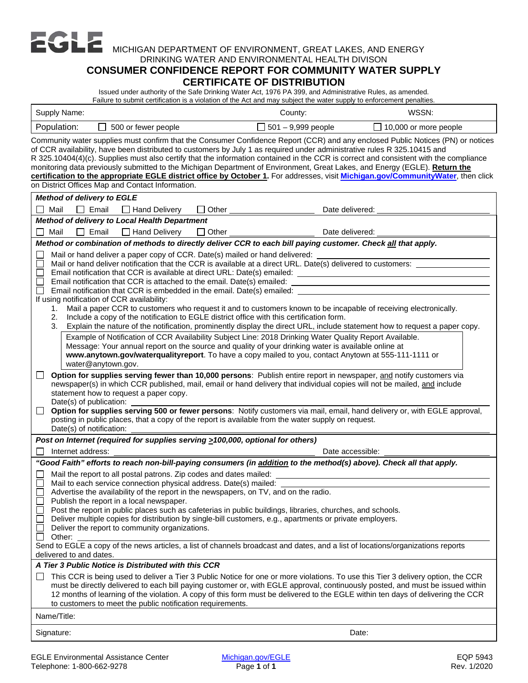MICHIGAN DEPARTMENT OF ENVIRONMENT, GREAT LAKES, AND ENERGY

## DRINKING WATER AND ENVIRONMENTAL HEALTH DIVISON

## **CONSUMER CONFIDENCE REPORT FOR COMMUNITY WATER SUPPLY CERTIFICATE OF DISTRIBUTION**

Issued under authority of the Safe Drinking Water Act, 1976 PA 399, and Administrative Rules, as amended. Failure to submit certification is a violation of the Act and may subject the water supply to enforcement penalties.

| Supply Name:                                                                                                                                                                                                                                                                                                                                                                                                                                                                                                                                                                                                                                                                                                                                                                                                                                                                                                                                                                                                                                                                                                                                                                                                                                                                                                                                                                                                                                                                                                                                                                                                                                                                                                                                                                                                                                                                                                                                                                                   | County:                   | WSSN:                        |  |
|------------------------------------------------------------------------------------------------------------------------------------------------------------------------------------------------------------------------------------------------------------------------------------------------------------------------------------------------------------------------------------------------------------------------------------------------------------------------------------------------------------------------------------------------------------------------------------------------------------------------------------------------------------------------------------------------------------------------------------------------------------------------------------------------------------------------------------------------------------------------------------------------------------------------------------------------------------------------------------------------------------------------------------------------------------------------------------------------------------------------------------------------------------------------------------------------------------------------------------------------------------------------------------------------------------------------------------------------------------------------------------------------------------------------------------------------------------------------------------------------------------------------------------------------------------------------------------------------------------------------------------------------------------------------------------------------------------------------------------------------------------------------------------------------------------------------------------------------------------------------------------------------------------------------------------------------------------------------------------------------|---------------------------|------------------------------|--|
| Population:<br>500 or fewer people                                                                                                                                                                                                                                                                                                                                                                                                                                                                                                                                                                                                                                                                                                                                                                                                                                                                                                                                                                                                                                                                                                                                                                                                                                                                                                                                                                                                                                                                                                                                                                                                                                                                                                                                                                                                                                                                                                                                                             | $\Box$ 501 – 9,999 people | $\Box$ 10,000 or more people |  |
| Community water supplies must confirm that the Consumer Confidence Report (CCR) and any enclosed Public Notices (PN) or notices<br>of CCR availability, have been distributed to customers by July 1 as required under administrative rules R 325.10415 and<br>R 325.10404(4)(c). Supplies must also certify that the information contained in the CCR is correct and consistent with the compliance<br>monitoring data previously submitted to the Michigan Department of Environment, Great Lakes, and Energy (EGLE). Return the<br>certification to the appropriate EGLE district office by October 1. For addresses, visit Michigan.gov/CommunityWater, then click<br>on District Offices Map and Contact Information.                                                                                                                                                                                                                                                                                                                                                                                                                                                                                                                                                                                                                                                                                                                                                                                                                                                                                                                                                                                                                                                                                                                                                                                                                                                                     |                           |                              |  |
| <b>Method of delivery to EGLE</b>                                                                                                                                                                                                                                                                                                                                                                                                                                                                                                                                                                                                                                                                                                                                                                                                                                                                                                                                                                                                                                                                                                                                                                                                                                                                                                                                                                                                                                                                                                                                                                                                                                                                                                                                                                                                                                                                                                                                                              |                           |                              |  |
| Mail<br>$\Box$ Email<br>Hand Delivery<br>Other<br>$\Box$                                                                                                                                                                                                                                                                                                                                                                                                                                                                                                                                                                                                                                                                                                                                                                                                                                                                                                                                                                                                                                                                                                                                                                                                                                                                                                                                                                                                                                                                                                                                                                                                                                                                                                                                                                                                                                                                                                                                       | Date delivered:           |                              |  |
| Method of delivery to Local Health Department                                                                                                                                                                                                                                                                                                                                                                                                                                                                                                                                                                                                                                                                                                                                                                                                                                                                                                                                                                                                                                                                                                                                                                                                                                                                                                                                                                                                                                                                                                                                                                                                                                                                                                                                                                                                                                                                                                                                                  |                           |                              |  |
| $\Box$ Email<br>Hand Delivery<br>П<br>Mail<br>$\Box$ Other                                                                                                                                                                                                                                                                                                                                                                                                                                                                                                                                                                                                                                                                                                                                                                                                                                                                                                                                                                                                                                                                                                                                                                                                                                                                                                                                                                                                                                                                                                                                                                                                                                                                                                                                                                                                                                                                                                                                     | Date delivered:           |                              |  |
| Method or combination of methods to directly deliver CCR to each bill paying customer. Check all that apply.                                                                                                                                                                                                                                                                                                                                                                                                                                                                                                                                                                                                                                                                                                                                                                                                                                                                                                                                                                                                                                                                                                                                                                                                                                                                                                                                                                                                                                                                                                                                                                                                                                                                                                                                                                                                                                                                                   |                           |                              |  |
| Mail or hand deliver a paper copy of CCR. Date(s) mailed or hand delivered:<br>$\Box$<br>Mail or hand deliver notification that the CCR is available at a direct URL. Date(s) delivered to customers: ________<br>⊏<br>Email notification that CCR is available at direct URL: Date(s) emailed: example and the state of the state of the state of the state of the state of the state of the state of the state of the state of the state of the sta<br>$\Box$<br>Email notification that CCR is attached to the email. Date(s) emailed:<br>□<br>Email notification that CCR is embedded in the email. Date(s) emailed:<br>$\Box$<br>If using notification of CCR availability:<br>1. Mail a paper CCR to customers who request it and to customers known to be incapable of receiving electronically.<br>Include a copy of the notification to EGLE district office with this certification form.<br>2.<br>3.<br>Explain the nature of the notification, prominently display the direct URL, include statement how to request a paper copy.<br>Example of Notification of CCR Availability Subject Line: 2018 Drinking Water Quality Report Available.<br>Message: Your annual report on the source and quality of your drinking water is available online at<br>www.anytown.gov/waterqualityreport. To have a copy mailed to you, contact Anytown at 555-111-1111 or<br>water@anytown.gov.<br>Option for supplies serving fewer than 10,000 persons: Publish entire report in newspaper, and notify customers via<br>L<br>newspaper(s) in which CCR published, mail, email or hand delivery that individual copies will not be mailed, and include<br>statement how to request a paper copy.<br>Date(s) of publication:<br>Option for supplies serving 500 or fewer persons: Notify customers via mail, email, hand delivery or, with EGLE approval,<br>⊔<br>posting in public places, that a copy of the report is available from the water supply on request.<br>Date(s) of notification: |                           |                              |  |
| Post on Internet (required for supplies serving >100,000, optional for others)                                                                                                                                                                                                                                                                                                                                                                                                                                                                                                                                                                                                                                                                                                                                                                                                                                                                                                                                                                                                                                                                                                                                                                                                                                                                                                                                                                                                                                                                                                                                                                                                                                                                                                                                                                                                                                                                                                                 |                           |                              |  |
| Internet address:                                                                                                                                                                                                                                                                                                                                                                                                                                                                                                                                                                                                                                                                                                                                                                                                                                                                                                                                                                                                                                                                                                                                                                                                                                                                                                                                                                                                                                                                                                                                                                                                                                                                                                                                                                                                                                                                                                                                                                              | Date accessible:          |                              |  |
| "Good Faith" efforts to reach non-bill-paying consumers (in addition to the method(s) above). Check all that apply.<br>Mail the report to all postal patrons. Zip codes and dates mailed:<br>$\Box$<br>Mail to each service connection physical address. Date(s) mailed:<br>Advertise the availability of the report in the newspapers, on TV, and on the radio.<br>L<br>Publish the report in a local newspaper.<br>$\Box$<br>Post the report in public places such as cafeterias in public buildings, libraries, churches, and schools.<br>$\Box$<br>Deliver multiple copies for distribution by single-bill customers, e.g., apartments or private employers.<br>$\Box$<br>Deliver the report to community organizations.<br>$\Box$<br>Other:<br>Send to EGLE a copy of the news articles, a list of channels broadcast and dates, and a list of locations/organizations reports<br>delivered to and dates.<br>A Tier 3 Public Notice is Distributed with this CCR<br>This CCR is being used to deliver a Tier 3 Public Notice for one or more violations. To use this Tier 3 delivery option, the CCR<br>$\Box$                                                                                                                                                                                                                                                                                                                                                                                                                                                                                                                                                                                                                                                                                                                                                                                                                                                                            |                           |                              |  |
| must be directly delivered to each bill paying customer or, with EGLE approval, continuously posted, and must be issued within<br>12 months of learning of the violation. A copy of this form must be delivered to the EGLE within ten days of delivering the CCR<br>to customers to meet the public notification requirements.                                                                                                                                                                                                                                                                                                                                                                                                                                                                                                                                                                                                                                                                                                                                                                                                                                                                                                                                                                                                                                                                                                                                                                                                                                                                                                                                                                                                                                                                                                                                                                                                                                                                |                           |                              |  |
| Name/Title:                                                                                                                                                                                                                                                                                                                                                                                                                                                                                                                                                                                                                                                                                                                                                                                                                                                                                                                                                                                                                                                                                                                                                                                                                                                                                                                                                                                                                                                                                                                                                                                                                                                                                                                                                                                                                                                                                                                                                                                    |                           |                              |  |
| Signature:                                                                                                                                                                                                                                                                                                                                                                                                                                                                                                                                                                                                                                                                                                                                                                                                                                                                                                                                                                                                                                                                                                                                                                                                                                                                                                                                                                                                                                                                                                                                                                                                                                                                                                                                                                                                                                                                                                                                                                                     | Date:                     |                              |  |
|                                                                                                                                                                                                                                                                                                                                                                                                                                                                                                                                                                                                                                                                                                                                                                                                                                                                                                                                                                                                                                                                                                                                                                                                                                                                                                                                                                                                                                                                                                                                                                                                                                                                                                                                                                                                                                                                                                                                                                                                |                           |                              |  |